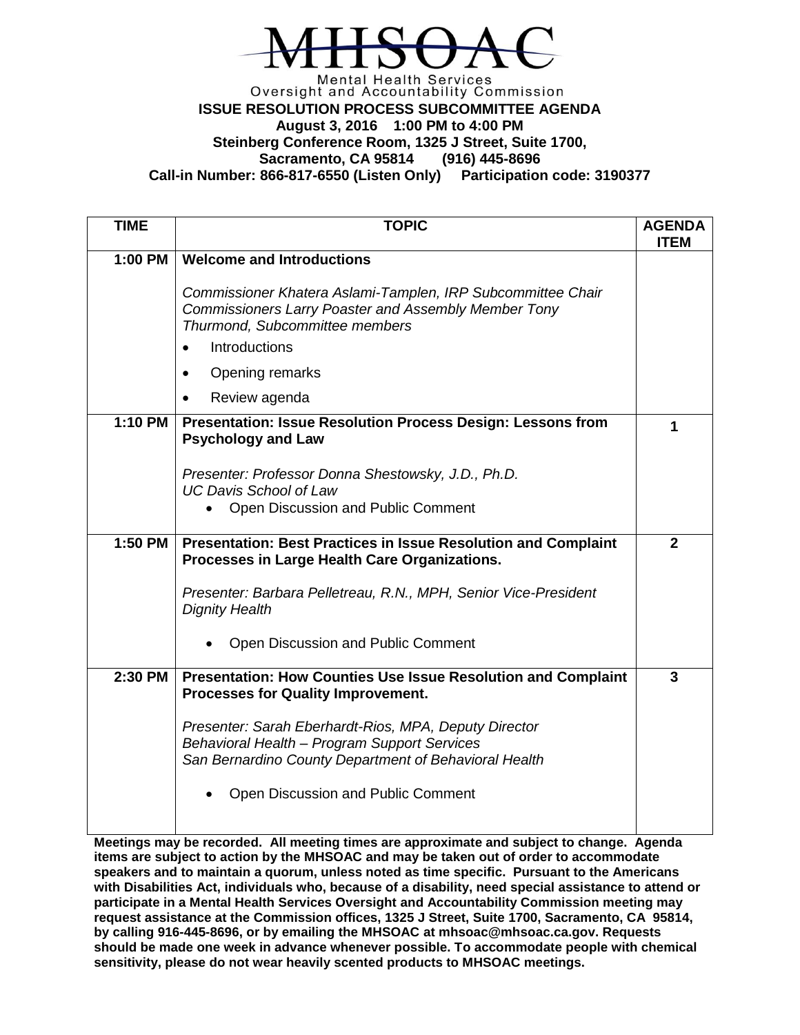

## Mental Health Services<br>Oversight and Accountability Commission **ISSUE RESOLUTION PROCESS SUBCOMMITTEE AGENDA August 3, 2016 1:00 PM to 4:00 PM Steinberg Conference Room, 1325 J Street, Suite 1700, Sacramento, CA 95814 Call-in Number: 866-817-6550 (Listen Only) Participation code: 3190377**

| <b>TIME</b> | <b>TOPIC</b>                                                                                                                                                                        | <b>AGENDA</b><br><b>ITEM</b> |
|-------------|-------------------------------------------------------------------------------------------------------------------------------------------------------------------------------------|------------------------------|
| 1:00 PM     | <b>Welcome and Introductions</b>                                                                                                                                                    |                              |
|             | Commissioner Khatera Aslami-Tamplen, IRP Subcommittee Chair<br>Commissioners Larry Poaster and Assembly Member Tony<br>Thurmond, Subcommittee members<br>Introductions<br>$\bullet$ |                              |
|             | Opening remarks<br>$\bullet$                                                                                                                                                        |                              |
|             | Review agenda                                                                                                                                                                       |                              |
| 1:10 PM     | <b>Presentation: Issue Resolution Process Design: Lessons from</b><br><b>Psychology and Law</b>                                                                                     | 1                            |
|             | Presenter: Professor Donna Shestowsky, J.D., Ph.D.<br><b>UC Davis School of Law</b>                                                                                                 |                              |
|             | Open Discussion and Public Comment                                                                                                                                                  |                              |
| 1:50 PM     | <b>Presentation: Best Practices in Issue Resolution and Complaint</b><br>Processes in Large Health Care Organizations.                                                              | $\mathbf{2}$                 |
|             | Presenter: Barbara Pelletreau, R.N., MPH, Senior Vice-President<br><b>Dignity Health</b>                                                                                            |                              |
|             | Open Discussion and Public Comment                                                                                                                                                  |                              |
| 2:30 PM     | <b>Presentation: How Counties Use Issue Resolution and Complaint</b><br><b>Processes for Quality Improvement.</b>                                                                   | 3                            |
|             | Presenter: Sarah Eberhardt-Rios, MPA, Deputy Director<br>Behavioral Health - Program Support Services<br>San Bernardino County Department of Behavioral Health                      |                              |
|             | Open Discussion and Public Comment                                                                                                                                                  |                              |

**Meetings may be recorded. All meeting times are approximate and subject to change. Agenda items are subject to action by the MHSOAC and may be taken out of order to accommodate speakers and to maintain a quorum, unless noted as time specific. Pursuant to the Americans with Disabilities Act, individuals who, because of a disability, need special assistance to attend or participate in a Mental Health Services Oversight and Accountability Commission meeting may request assistance at the Commission offices, 1325 J Street, Suite 1700, Sacramento, CA 95814, by calling 916-445-8696, or by emailing the MHSOAC at mhsoac@mhsoac.ca.gov. Requests should be made one week in advance whenever possible. To accommodate people with chemical sensitivity, please do not wear heavily scented products to MHSOAC meetings.**